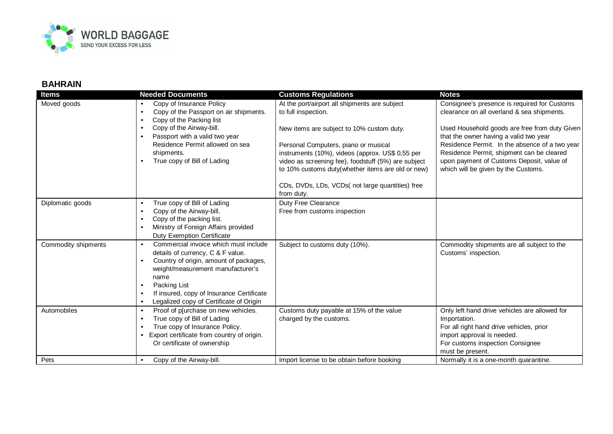

## **BAHRAIN**

| <b>Items</b><br>Moved goods | <b>Needed Documents</b><br>Copy of Insurance Policy<br>$\bullet$<br>Copy of the Passport on air shipments.<br>$\bullet$<br>Copy of the Packing list<br>$\bullet$<br>Copy of the Airway-bill.<br>$\bullet$<br>Passport with a valid two year<br>$\bullet$<br>Residence Permit allowed on sea<br>shipments.                                  | <b>Customs Regulations</b><br>At the port/airport all shipments are subject<br>to full inspection.<br>New items are subject to 10% custom duty.<br>Personal Computers, piano or musical<br>instruments (10%), videos (approx. US\$ 0,55 per | <b>Notes</b><br>Consignee's presence is required for Customs<br>clearance on all overland & sea shipments.<br>Used Household goods are free from duty Given<br>that the owner having a valid two year<br>Residence Permit. In the absence of a two year<br>Residence Permit, shipment can be cleared |
|-----------------------------|--------------------------------------------------------------------------------------------------------------------------------------------------------------------------------------------------------------------------------------------------------------------------------------------------------------------------------------------|---------------------------------------------------------------------------------------------------------------------------------------------------------------------------------------------------------------------------------------------|------------------------------------------------------------------------------------------------------------------------------------------------------------------------------------------------------------------------------------------------------------------------------------------------------|
|                             | True copy of Bill of Lading                                                                                                                                                                                                                                                                                                                | video as screening fee), foodstuff (5%) are subject<br>to 10% customs duty(whether items are old or new)<br>CDs, DVDs, LDs, VCDs(not large quantities) free<br>from duty.                                                                   | upon payment of Customs Deposit, value of<br>which will be given by the Customs.                                                                                                                                                                                                                     |
| Diplomatic goods            | True copy of Bill of Lading<br>$\bullet$<br>Copy of the Airway-bill.<br>$\bullet$<br>Copy of the packing list.<br>$\bullet$<br>Ministry of Foreign Affairs provided<br>$\bullet$<br><b>Duty Exemption Certificate</b>                                                                                                                      | Duty Free Clearance<br>Free from customs inspection                                                                                                                                                                                         |                                                                                                                                                                                                                                                                                                      |
| Commodity shipments         | Commercial invoice which must include<br>$\bullet$<br>details of currency, C & F value.<br>Country of origin, amount of packages,<br>$\bullet$<br>weight/measurement manufacturer's<br>name<br>Packing List<br>$\bullet$<br>If insured, copy of Insurance Certificate<br>$\bullet$<br>Legalized copy of Certificate of Origin<br>$\bullet$ | Subject to customs duty (10%).                                                                                                                                                                                                              | Commodity shipments are all subject to the<br>Customs' inspection.                                                                                                                                                                                                                                   |
| Automobiles                 | Proof of p[urchase on new vehicles.<br>$\bullet$<br>True copy of Bill of Lading<br>$\bullet$<br>True copy of Insurance Policy.<br>$\bullet$<br>Export certificate from country of origin.<br>$\bullet$<br>Or certificate of ownership                                                                                                      | Customs duty payable at 15% of the value<br>charged by the customs.                                                                                                                                                                         | Only left hand drive vehicles are allowed for<br>Importation.<br>For all right hand drive vehicles, prior<br>import approval is needed.<br>For customs inspection Consignee<br>must be present.                                                                                                      |
| Pets                        | Copy of the Airway-bill.                                                                                                                                                                                                                                                                                                                   | Import license to be obtain before booking                                                                                                                                                                                                  | Normally it is a one-month quarantine.                                                                                                                                                                                                                                                               |